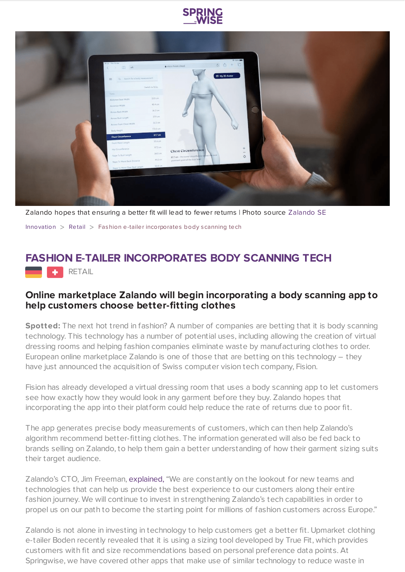



Zalando hopes that ensuring a better fit will lead to fewer returns | Photo source [Zalando](https://corporate.zalando.com/en/newsroom/news-stories/zalando-invests-customer-experience-acquisition-swiss-mobile-body-scanning) SE

[Innovation](https://www.springwise.com/search?type=innovation) > [Retail](https://www.springwise.com/search?type=innovation§or=retail) > Fashion e-tailer incorporates body scanning tech

## **FASHION E-TAILER INCORPORATES BODY SCANNING TECH**

**RETAIL** 

## **Online marketplace Zalando will begin incorporating a body scanning app to help customers choose better-fitting clothes**

**Spotted:** The next hot trend in fashion? A number of companies are betting that it is body scanning technology. This technology has a number of potential uses, including allowing the creation of virtual dressing rooms and helping fashion companies eliminate waste by manufacturing clothes to order. European online marketplace Zalando is one of those that are betting on this technology – they have just announced the acquisition of Swiss computer vision tech company, Fision.

Fision has already developed a virtual dressing room that uses a body scanning app to let customers see how exactly how they would look in any garment before they buy. Zalando hopes that incorporating the app into their platform could help reduce the rate of returns due to poor fit.

The app generates precise body measurements of customers, which can then help Zalando's algorithm recommend better-fitting clothes. The information generated will also be fed back to brands selling on Zalando, to help them gain a better understanding of how their garment sizing suits their target audience.

Zalando's CTO, Jim Freeman, [explained,](https://www.essentialretail.com/news/zalando-acquires-body-scanning/) "We are constantly on the lookout for new teams and technologies that can help us provide the best experience to our customers along their entire fashion journey. We will continue to invest in strengthening Zalando's tech capabilities in order to propel us on our path to become the starting point for millions of fashion customers across Europe."

Zalando is not alone in investing in technology to help customers get a better fit. Upmarket clothing e-tailer Boden recently revealed that it is using a sizing tool developed by True Fit, which provides customers with fit and size recommendations based on personal preference data points. At Springwise, we have covered other apps that make use of similar technology to reduce waste in